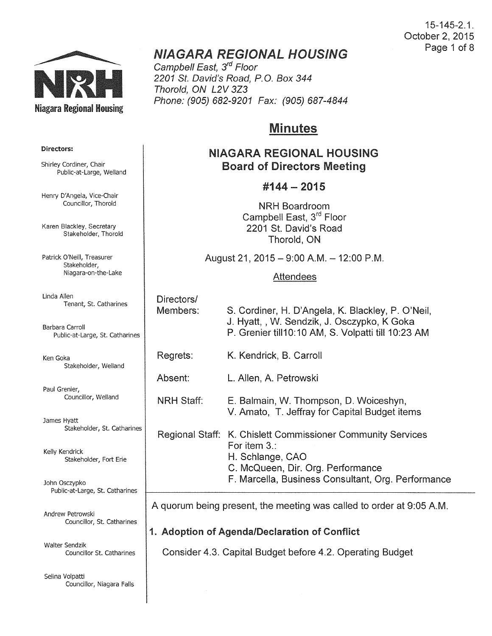15-145-2.1. October 2, 2015 Page 1 of 8



# NIAGARA REGIONAL HOUSING

Campbell East, 3<sup>rd</sup> Floor 2201 St. David's Road, P.O. Box 344 Thorold, ON L2V 3Z3 Phone: (905) 682-9201 Fax: (905) 687-4844

# Minutes

## NIAGARA REGIONAL HOUSING Board of Directors Meeting

## #144- 2015

NRH Boardroom Campbell East, 3<sup>rd</sup> Floor 2201 St. David's Road Thorold, ON

August 21, 2015 - 9:00 A.M. - 12:00 P.M.

## Attendees

| Ś<br>arines     | Directors/<br>Members: | S. Cordiner, H. D'Angela, K. Blackley, P. O'Neil,<br>J. Hyatt, , W. Sendzik, J. Osczypko, K Goka<br>P. Grenier till 10:10 AM, S. Volpatti till 10:23 AM                                       |
|-----------------|------------------------|-----------------------------------------------------------------------------------------------------------------------------------------------------------------------------------------------|
|                 | Regrets:               | K. Kendrick, B. Carroll                                                                                                                                                                       |
|                 | Absent:                | L. Allen, A. Petrowski                                                                                                                                                                        |
|                 | <b>NRH Staff:</b>      | E. Balmain, W. Thompson, D. Woiceshyn,<br>V. Amato, T. Jeffray for Capital Budget items                                                                                                       |
| arines<br>rines |                        | Regional Staff: K. Chislett Commissioner Community Services<br>For item $3$ .:<br>H. Schlange, CAO<br>C. McQueen, Dir. Org. Performance<br>F. Marcella, Business Consultant, Org. Performance |
|                 |                        | attention in a long proposal that is a strong college to and an above the O.O.E. A. B.B.                                                                                                      |

A quorum being present, the meeting was called to order at 9:05A.M.

1. Adoption of Agenda/Declaration of Conflict

Consider 4.3. Capital Budget before 4.2. Operating Budget

#### Directors:

Shirley Cordiner, Chair Public-at-Large, Weiland

Henry D'Angela, Vice-Chair Councillor, Thorold

Karen Blackley, Secretary Stakeholder, Thorold

Patrick O'Neill, Treasurer Stakeholder, Niagara-on-the-Lake

Linda Allen Tenant, St. Catharines

Barbara Carroll Public-at-Large, St. Catha

Ken Goka Stakeholder, Weiland

Paul Grenier, Councillor, Weiland

James Hyatt Stakeholder, St. Cath

Kelly Kendrick Stakeholder, Fort Erie

John Osczypko Public-at-Large, St. Cathar

Andrew Petrowski Councillor, St. Catharines

Walter Sendzik Councillor St. Catharines

Selina Volpatti Councillor, Niagara Falls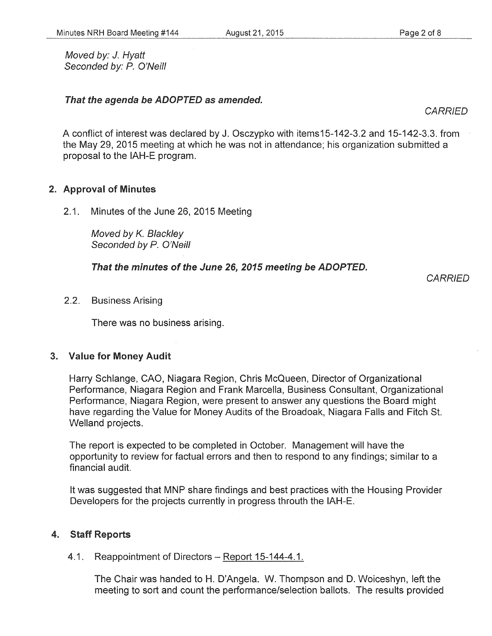### That the agenda be ADOPTED as amended.

A conflict of interest was declared by J. Osczypko with items15-142-3.2 and 15-142-3.3. from the May 29, 2015 meeting at which he was not in attendance; his organization submitted a proposal to the IAH-E program.

## 2. Approval of Minutes

2.1. Minutes of the June 26, 2015 Meeting

Moved by K. Blackley Seconded by P. O'Neill

## That the minutes of the June 26, 2015 meeting be ADOPTED.

**CARRIED** 

2.2. Business Arising

There was no business arising.

#### 3. Value for Money Audit

Harry Schlange, GAO, Niagara Region, Chris McQueen, Director of Organizational Performance, Niagara Region and Frank Marcella, Business Consultant, Organizational Performance, Niagara Region, were present to answer any questions the Board might have regarding the Value for Money Audits of the Broadoak, Niagara Falls and Fitch St. Welland projects.

The report is expected to be completed in October. Management will have the opportunity to review for factual errors and then to respond to any findings; similar to a financial audit.

It was suggested that MNP share findings and best practices with the Housing Provider Developers for the projects currently in progress throuth the IAH-E.

## 4. Staff Reports

4.1. Reappointment of Directors - Report 15-144-4.1.

The Chair was handed to H. D'Angela. W. Thompson and D. Woiceshyn, left the meeting to sort and count the performance/selection ballots. The results provided

## **CARRIED**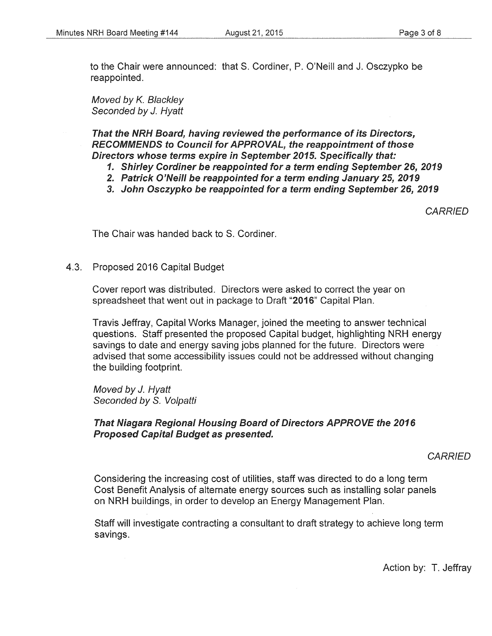to the Chair were announced: that S. Cordiner, P. O'Neill and J. Osczypko be reappointed.

Moved by K. Blackley Seconded by J. Hyatt

That the NRH Board, having reviewed the performance of its Directors, RECOMMENDS to Council for APPROVAL, the reappointment of those Directors whose terms expire in September 2015. Specifically that:

- 1. Shirley Cordiner be reappointed for a term ending September 26, 2019
- 2. Patrick O'Neill be reappointed for a term ending January 25, 2019
- 3. John Osczypko be reappointed for a term ending September 26, 2019

**CARRIED** 

The Chair was handed back to S. Cordiner.

## 4.3. Proposed 2016 Capital Budget

Cover report was distributed. Directors were asked to correct the year on spreadsheet that went out in package to Draft "2016" Capital Plan.

Travis Jeffray, Capital Works Manager, joined the meeting to answer technical questions. Staff presented the proposed Capital budget, highlighting NRH energy savings to date and energy saving jobs planned for the future. Directors were advised that some accessibility issues could not be addressed without changing the building footprint.

Moved by J. Hyatt Seconded by S. Volpatti

## That Niagara Regional Housing Board of Directors APPROVE the 2016 Proposed Capital Budget as presented.

## **CARRIED**

Considering the increasing cost of utilities, staff was directed to do a long term Cost Benefit Analysis of alternate energy sources such as installing solar panels on NRH buildings, in order to develop an Energy Management Plan.

Staff will investigate contracting a consultant to draft strategy to achieve long term savings.

Action by: T. Jeffray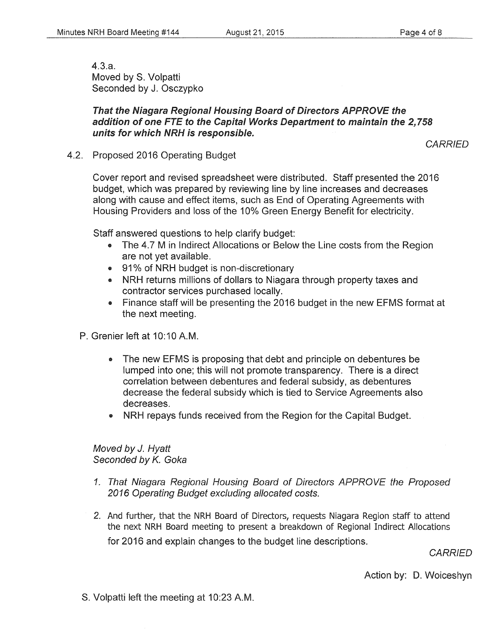4.3.a. Moved by S. Volpatti Seconded by J. Osczypko

## That the Niagara Regional Housing Board of Directors APPROVE the addition of one FTE to the Capital Works Department to maintain the 2, 758 units for which NRH is responsible.

**CARRIED** 

4.2. Proposed 2016 Operating Budget

Cover report and revised spreadsheet were distributed. Staff presented the 2016 budget, which was prepared by reviewing line by line increases and decreases along with cause and effect items, such as End of Operating Agreements with Housing Providers and loss of the 10% Green Energy Benefit for electricity.

Staff answered questions to help clarify budget:

- The 4.7 M in Indirect Allocations or Below the Line costs from the Region are not yet available.
- 91% of NRH budget is non-discretionary
- NRH returns millions of dollars to Niagara through property taxes and contractor services purchased locally.
- Finance staff will be presenting the 2016 budget in the new EFMS format at the next meeting.

P. Grenier left at 10:10 A.M.

- The new EFMS is proposing that debt and principle on debentures be lumped into one; this will not promote transparency. There is a direct correlation between debentures and federal subsidy, as debentures decrease the federal subsidy which is tied to Service Agreements also decreases.
- NRH repays funds received from the Region for the Capital Budget.

Moved by J. Hyatt Seconded by K. Goka

- 1. That Niagara Regional Housing Board of Directors APPROVE the Proposed 2016 Operating Budget excluding allocated costs.
- 2. And further, that the NRH Board of Directors, requests Niagara Region staff to attend the next NRH Board meeting to present a breakdown of Regional Indirect Allocations for 2016 and explain changes to the budget line descriptions.

**CARRIED** 

Action by: D. Woiceshyn

S. Volpatti left the meeting at 10:23 A.M.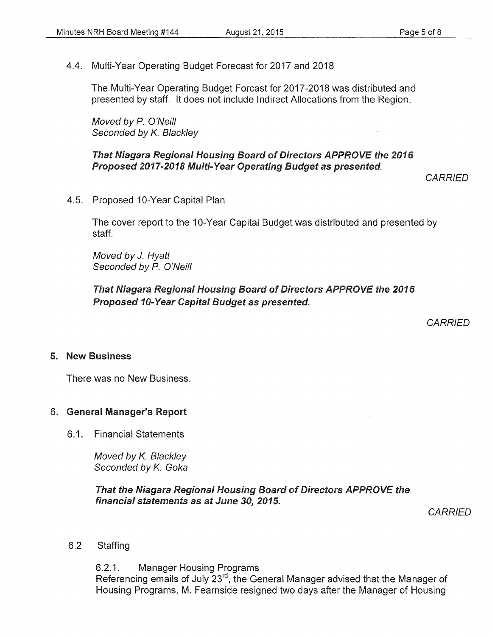4.4. Multi-Year Operating Budget Forecast for 2017 and 2018

The Multi-Year Operating Budget Forcast for 2017-2018 was distributed and presented by staff. It does not include Indirect Allocations from the Region.

Moved by P. O'Neill Seconded by *K.* Blackley

That Niagara Regional Housing Board of Directors APPROVE the 2016 Proposed 2017-2018 Multi-Year Operating Budget as presented.

**CARRIED** 

4.5. Proposed 10-Year Capital Plan

The cover report to the 10-Year Capital Budget was distributed and presented by staff.

Moved by J. Hyatt Seconded by P. O'Neill

That Niagara Regional Housing Board of Directors APPROVE the 2016 Proposed 10-Year Capital Budget as presented.

**CARRIED** 

#### 5. New Business

There was no New Business.

#### 6. General Manager's Report

6.1. Financial Statements

Moved by *K.* Blackley Seconded by *K.* Goka

That the Niagara Regional Housing Board of Directors APPROVE the financial statements as at June 30, 2015.

**CARRIED** 

6.2 Staffing

6.2.1. Manager Housing Programs Referencing emails of July 23rd, the General Manager advised that the Manager of Housing Programs, M. Fearnside resigned two days after the Manager of Housing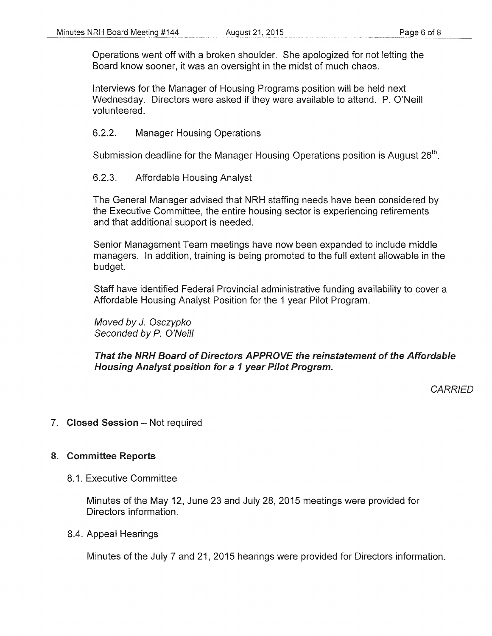Operations went off with a broken shoulder. She apologized for not letting the Board know sooner, it was an oversight in the midst of much chaos.

Interviews for the Manager of Housing Programs position will be held next Wednesday. Directors were asked if they were available to attend. P. O'Neill volunteered.

6.2.2. Manager Housing Operations

Submission deadline for the Manager Housing Operations position is August  $26<sup>th</sup>$ .

## 6.2.3. Affordable Housing Analyst

The General Manager advised that NRH staffing needs have been considered by the Executive Committee, the entire housing sector is experiencing retirements and that additional support is needed.

Senior Management Team meetings have now been expanded to include middle managers. In addition, training is being promoted to the full extent allowable in the budget.

Staff have identified Federal Provincial administrative funding availability to cover a Affordable Housing Analyst Position for the 1 year Pilot Program.

Moved by J. Osczypko Seconded by P. O'Neill

## That the NRH Board of Directors APPROVE the reinstatement of the Affordable Housing Analyst position for a 1 year Pilot Program.

**CARRIED** 

## 7. Closed Session- Not required

## 8. Committee Reports

8.1. Executive Committee

Minutes of the May 12, June 23 and July 28, 2015 meetings were provided for Directors information.

8.4. Appeal Hearings

Minutes of the July 7 and 21, 2015 hearings were provided for Directors information.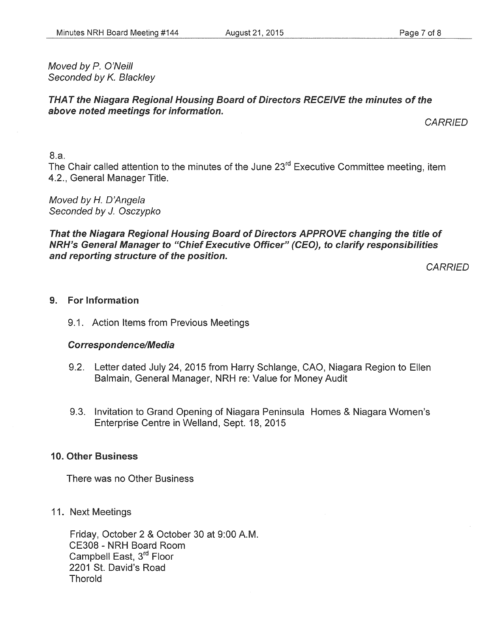#### August 21, 2015 **Page 7 of 8**

Moved by *P.* O'Neill Seconded by K. Blackley

## THAT the Niagara Regional Housing Board of Directors RECEIVE the minutes of the above noted meetings for information.

**CARRIED** 

### 8.a.

The Chair called attention to the minutes of the June 23<sup>rd</sup> Executive Committee meeting, item 4.2., General Manager Title.

Moved by *H.* D'Angela Seconded by J. Osczypko

That the Niagara Regional Housing Board of Directors APPROVE changing the title of NRH's General Manager to "Chief Executive Officer" (CEO), to clarify responsibilities and reporting structure of the position.

**CARRIED** 

### 9. For Information

9.1. Action Items from Previous Meetings

## Correspondence/Media

- 9.2. Letter dated July 24, 2015 from Harry Schlange, CAO, Niagara Region to Ellen Balmain, General Manager, NRH re: Value for Money Audit
- 9.3. Invitation to Grand Opening of Niagara Peninsula Homes & Niagara Women's Enterprise Centre in Weiland, Sept. 18, 2015

#### 10. Other Business

There was no Other Business

11. Next Meetings

Friday, October 2 & October 30 at 9:00A.M. CE308- NRH Board Room Campbell East, 3<sup>rd</sup> Floor 2201 St. David's Road Thorold